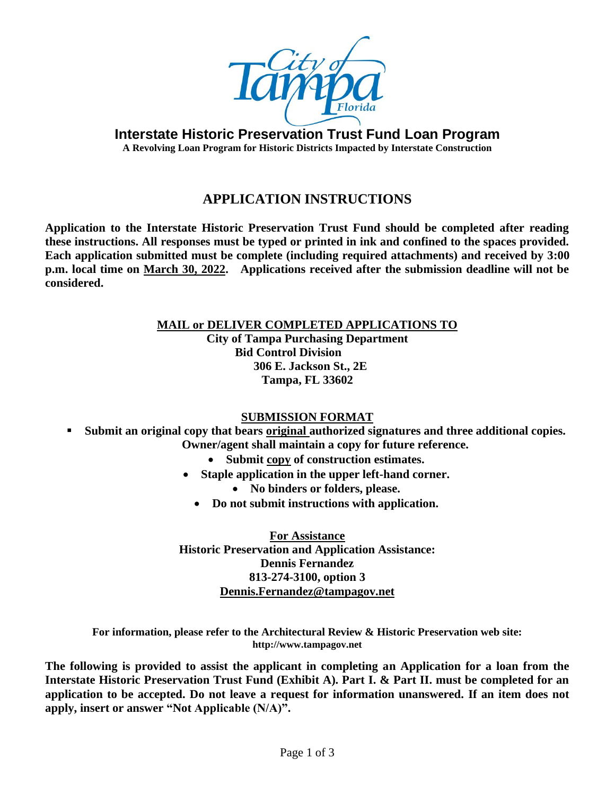

**Interstate Historic Preservation Trust Fund Loan Program**

**A Revolving Loan Program for Historic Districts Impacted by Interstate Construction**

## **APPLICATION INSTRUCTIONS**

**Application to the Interstate Historic Preservation Trust Fund should be completed after reading these instructions. All responses must be typed or printed in ink and confined to the spaces provided. Each application submitted must be complete (including required attachments) and received by 3:00 p.m. local time on March 30, 2022. Applications received after the submission deadline will not be considered.**

> **MAIL or DELIVER COMPLETED APPLICATIONS TO City of Tampa Purchasing Department Bid Control Division 306 E. Jackson St., 2E Tampa, FL 33602**

### **SUBMISSION FORMAT**

- **Submit an original copy that bears original authorized signatures and three additional copies. Owner/agent shall maintain a copy for future reference.**
	- **Submit copy of construction estimates.**
	- **Staple application in the upper left-hand corner.**
		- **No binders or folders, please.**
		- **Do not submit instructions with application.**

**For Assistance Historic Preservation and Application Assistance: Dennis Fernandez 813-274-3100, option 3 [Dennis.Fernandez@tampagov.net](mailto:Dennis.Fernandez@tampagov.net)**

**For information, please refer to the Architectural Review & Historic Preservation web site: http://www.tampagov.net**

**The following is provided to assist the applicant in completing an Application for a loan from the Interstate Historic Preservation Trust Fund (Exhibit A). Part I. & Part II. must be completed for an application to be accepted. Do not leave a request for information unanswered. If an item does not apply, insert or answer "Not Applicable (N/A)".**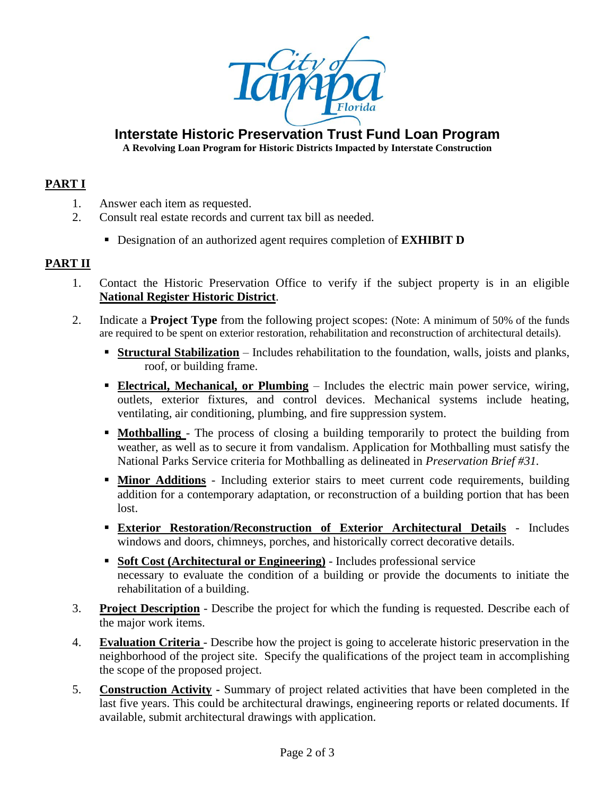

## **Interstate Historic Preservation Trust Fund Loan Program**

**A Revolving Loan Program for Historic Districts Impacted by Interstate Construction**

### **PART I**

- 1. Answer each item as requested.
- 2. Consult real estate records and current tax bill as needed.
	- Designation of an authorized agent requires completion of **EXHIBIT D**

### **PART II**

- 1. Contact the Historic Preservation Office to verify if the subject property is in an eligible **National Register Historic District**.
- 2. Indicate a **Project Type** from the following project scopes: (Note: A minimum of 50% of the funds are required to be spent on exterior restoration, rehabilitation and reconstruction of architectural details).
	- **Example 1 Structural Stabilization** Includes rehabilitation to the foundation, walls, joists and planks, roof, or building frame.
	- **Electrical, Mechanical, or Plumbing** Includes the electric main power service, wiring, outlets, exterior fixtures, and control devices. Mechanical systems include heating, ventilating, air conditioning, plumbing, and fire suppression system.
	- **Mothballing** The process of closing a building temporarily to protect the building from weather, as well as to secure it from vandalism. Application for Mothballing must satisfy the National Parks Service criteria for Mothballing as delineated in *Preservation Brief #31.*
	- **If Minor Additions** Including exterior stairs to meet current code requirements, building addition for a contemporary adaptation, or reconstruction of a building portion that has been lost.
	- **Exterior Restoration/Reconstruction of Exterior Architectural Details** Includes windows and doors, chimneys, porches, and historically correct decorative details.
	- **EXECOST (Architectural or Engineering)** Includes professional service necessary to evaluate the condition of a building or provide the documents to initiate the rehabilitation of a building.
- 3. **Project Description** Describe the project for which the funding is requested. Describe each of the major work items.
- 4. **Evaluation Criteria**  Describe how the project is going to accelerate historic preservation in the neighborhood of the project site. Specify the qualifications of the project team in accomplishing the scope of the proposed project.
- 5. **Construction Activity -** Summary of project related activities that have been completed in the last five years. This could be architectural drawings, engineering reports or related documents. If available, submit architectural drawings with application.